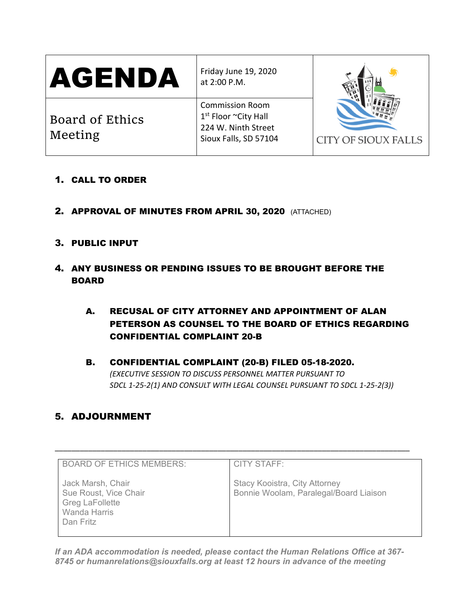| AGENDA                     | Friday June 19, 2020<br>at 2:00 P.M.                                                                       | <b>CITY OF SIOUX FALLS</b> |
|----------------------------|------------------------------------------------------------------------------------------------------------|----------------------------|
| Board of Ethics<br>Meeting | <b>Commission Room</b><br>1 <sup>st</sup> Floor ~City Hall<br>224 W. Ninth Street<br>Sioux Falls, SD 57104 |                            |

- 1. CALL TO ORDER
- 2. APPROVAL OF MINUTES FROM APRIL 30, 2020 (ATTACHED)

# 3. PUBLIC INPUT

- 4. ANY BUSINESS OR PENDING ISSUES TO BE BROUGHT BEFORE THE BOARD
	- A. RECUSAL OF CITY ATTORNEY AND APPOINTMENT OF ALAN PETERSON AS COUNSEL TO THE BOARD OF ETHICS REGARDING CONFIDENTIAL COMPLAINT 20-B

# B. CONFIDENTIAL COMPLAINT (20-B) FILED 05-18-2020. *(EXECUTIVE SESSION TO DISCUSS PERSONNEL MATTER PURSUANT TO SDCL 1-25-2(1) AND CONSULT WITH LEGAL COUNSEL PURSUANT TO SDCL 1-25-2(3))*

# 5. ADJOURNMENT

| <b>BOARD OF ETHICS MEMBERS:</b>                                                                   | <b>CITY STAFF:</b>                                                      |
|---------------------------------------------------------------------------------------------------|-------------------------------------------------------------------------|
| Jack Marsh, Chair<br>Sue Roust, Vice Chair<br><b>Greg LaFollette</b><br>Wanda Harris<br>Dan Fritz | Stacy Kooistra, City Attorney<br>Bonnie Woolam, Paralegal/Board Liaison |

\_\_\_\_\_\_\_\_\_\_\_\_\_\_\_\_\_\_\_\_\_\_\_\_\_\_\_\_\_\_\_\_\_\_\_\_\_\_\_\_\_\_\_\_\_\_\_\_\_\_\_\_\_\_\_\_\_\_\_\_\_\_\_\_\_\_\_\_\_\_\_\_\_\_\_\_\_\_\_\_\_\_\_\_\_

*If an ADA accommodation is needed, please contact the Human Relations Office at 367- 8745 or humanrelations@siouxfalls.org at least 12 hours in advance of the meeting*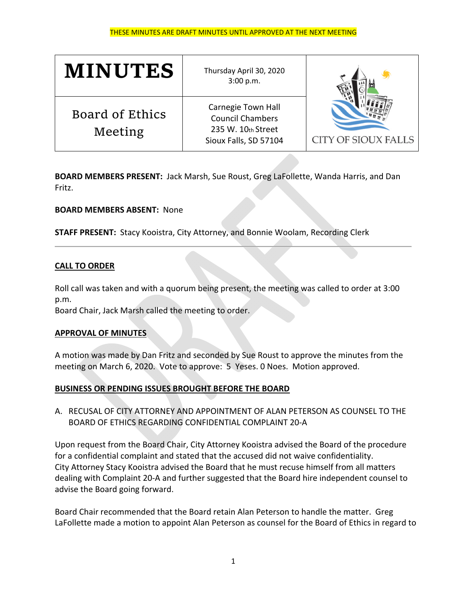#### THESE MINUTES ARE DRAFT MINUTES UNTIL APPROVED AT THE NEXT MEETING

| <b>MINUTES</b>                    | Thursday April 30, 2020<br>3:00 p.m.                                                         |                            |
|-----------------------------------|----------------------------------------------------------------------------------------------|----------------------------|
| <b>Board of Ethics</b><br>Meeting | Carnegie Town Hall<br><b>Council Chambers</b><br>235 W. 10th Street<br>Sioux Falls, SD 57104 | <b>CITY OF SIOUX FALLS</b> |

**BOARD MEMBERS PRESENT:** Jack Marsh, Sue Roust, Greg LaFollette, Wanda Harris, and Dan Fritz.

### **BOARD MEMBERS ABSENT:** None

**STAFF PRESENT:** Stacy Kooistra, City Attorney, and Bonnie Woolam, Recording Clerk

### **CALL TO ORDER**

Roll call was taken and with a quorum being present, the meeting was called to order at 3:00 p.m.

Board Chair, Jack Marsh called the meeting to order.

#### **APPROVAL OF MINUTES**

A motion was made by Dan Fritz and seconded by Sue Roust to approve the minutes from the meeting on March 6, 2020. Vote to approve: 5 Yeses. 0 Noes. Motion approved.

## **BUSINESS OR PENDING ISSUES BROUGHT BEFORE THE BOARD**

A. RECUSAL OF CITY ATTORNEY AND APPOINTMENT OF ALAN PETERSON AS COUNSEL TO THE BOARD OF ETHICS REGARDING CONFIDENTIAL COMPLAINT 20‐A

Upon request from the Board Chair, City Attorney Kooistra advised the Board of the procedure for a confidential complaint and stated that the accused did not waive confidentiality. City Attorney Stacy Kooistra advised the Board that he must recuse himself from all matters dealing with Complaint 20‐A and further suggested that the Board hire independent counsel to advise the Board going forward.

Board Chair recommended that the Board retain Alan Peterson to handle the matter. Greg LaFollette made a motion to appoint Alan Peterson as counsel for the Board of Ethics in regard to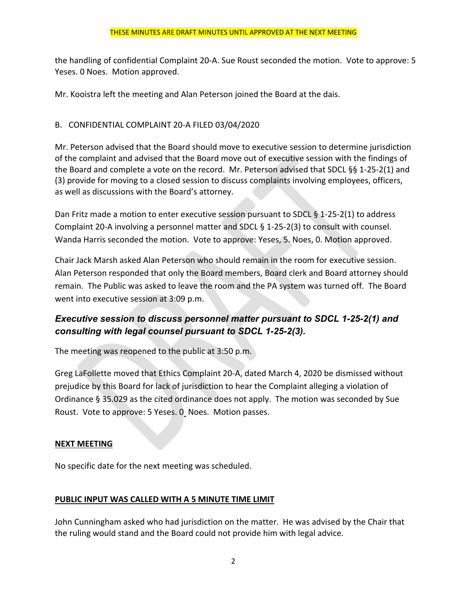the handling of confidential Complaint 20‐A. Sue Roust seconded the motion. Vote to approve: 5 Yeses. 0 Noes. Motion approved.

Mr. Kooistra left the meeting and Alan Peterson joined the Board at the dais.

# B. CONFIDENTIAL COMPLAINT 20‐A FILED 03/04/2020

Mr. Peterson advised that the Board should move to executive session to determine jurisdiction of the complaint and advised that the Board move out of executive session with the findings of the Board and complete a vote on the record. Mr. Peterson advised that SDCL §§ 1‐25‐2(1) and (3) provide for moving to a closed session to discuss complaints involving employees, officers, as well as discussions with the Board's attorney.

Dan Fritz made a motion to enter executive session pursuant to SDCL § 1-25-2(1) to address Complaint 20‐A involving a personnel matter and SDCL § 1‐25‐2(3) to consult with counsel. Wanda Harris seconded the motion. Vote to approve: Yeses, 5. Noes, 0. Motion approved.

Chair Jack Marsh asked Alan Peterson who should remain in the room for executive session. Alan Peterson responded that only the Board members, Board clerk and Board attorney should remain. The Public was asked to leave the room and the PA system was turned off. The Board went into executive session at 3:09 p.m.

# *Executive session to discuss personnel matter pursuant to SDCL 1-25-2(1) and consulting with legal counsel pursuant to SDCL 1-25-2(3).*

The meeting was reopened to the public at 3:50 p.m.

Greg LaFollette moved that Ethics Complaint 20‐A, dated March 4, 2020 be dismissed without prejudice by this Board for lack of jurisdiction to hear the Complaint alleging a violation of Ordinance § 35.029 as the cited ordinance does not apply. The motion was seconded by Sue Roust. Vote to approve: 5 Yeses. 0 Noes. Motion passes.

# **NEXT MEETING**

No specific date for the next meeting was scheduled.

# **PUBLIC INPUT WAS CALLED WITH A 5 MINUTE TIME LIMIT**

John Cunningham asked who had jurisdiction on the matter. He was advised by the Chair that the ruling would stand and the Board could not provide him with legal advice.